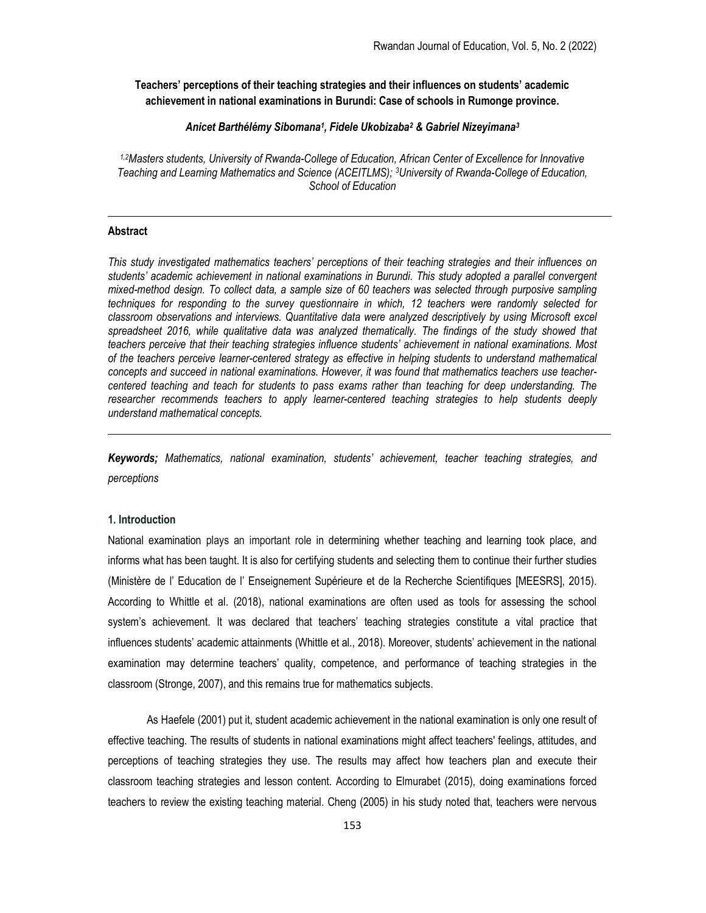Teachers' perceptions of their teaching strategies and their influences on students' academic achievement in national examinations in Burundi: Case of schools in Rumonge province.

## Anicet Barthélémy Sibomana<sup>1</sup>, Fidele Ukobizaba<sup>2</sup> & Gabriel Nizeyimana<sup>3</sup>

1,2Masters students, University of Rwanda-College of Education, African Center of Excellence for Innovative Teaching and Learning Mathematics and Science (ACEITLMS); 3University of Rwanda-College of Education, School of Education

#### Abstract

This study investigated mathematics teachers' perceptions of their teaching strategies and their influences on students' academic achievement in national examinations in Burundi. This study adopted a parallel convergent mixed-method design. To collect data, a sample size of 60 teachers was selected through purposive sampling techniques for responding to the survey questionnaire in which, 12 teachers were randomly selected for classroom observations and interviews. Quantitative data were analyzed descriptively by using Microsoft excel spreadsheet 2016, while qualitative data was analyzed thematically. The findings of the study showed that teachers perceive that their teaching strategies influence students' achievement in national examinations. Most of the teachers perceive learner-centered strategy as effective in helping students to understand mathematical concepts and succeed in national examinations. However, it was found that mathematics teachers use teachercentered teaching and teach for students to pass exams rather than teaching for deep understanding. The researcher recommends teachers to apply learner-centered teaching strategies to help students deeply understand mathematical concepts.

Keywords; Mathematics, national examination, students' achievement, teacher teaching strategies, and perceptions

## 1. Introduction

National examination plays an important role in determining whether teaching and learning took place, and informs what has been taught. It is also for certifying students and selecting them to continue their further studies (Ministère de l' Education de l' Enseignement Supérieure et de la Recherche Scientifiques [MEESRS], 2015). According to Whittle et al. (2018), national examinations are often used as tools for assessing the school system's achievement. It was declared that teachers' teaching strategies constitute a vital practice that influences students' academic attainments (Whittle et al., 2018). Moreover, students' achievement in the national examination may determine teachers' quality, competence, and performance of teaching strategies in the classroom (Stronge, 2007), and this remains true for mathematics subjects.

As Haefele (2001) put it, student academic achievement in the national examination is only one result of effective teaching. The results of students in national examinations might affect teachers' feelings, attitudes, and perceptions of teaching strategies they use. The results may affect how teachers plan and execute their classroom teaching strategies and lesson content. According to Elmurabet (2015), doing examinations forced teachers to review the existing teaching material. Cheng (2005) in his study noted that, teachers were nervous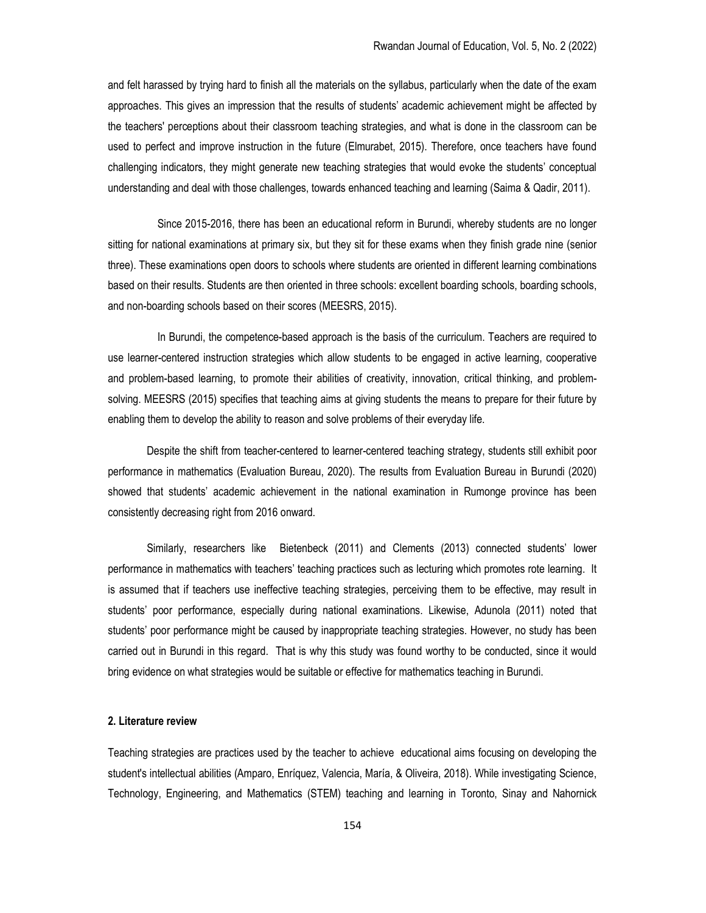and felt harassed by trying hard to finish all the materials on the syllabus, particularly when the date of the exam approaches. This gives an impression that the results of students' academic achievement might be affected by the teachers' perceptions about their classroom teaching strategies, and what is done in the classroom can be used to perfect and improve instruction in the future (Elmurabet, 2015). Therefore, once teachers have found challenging indicators, they might generate new teaching strategies that would evoke the students' conceptual understanding and deal with those challenges, towards enhanced teaching and learning (Saima & Qadir, 2011).

 Since 2015-2016, there has been an educational reform in Burundi, whereby students are no longer sitting for national examinations at primary six, but they sit for these exams when they finish grade nine (senior three). These examinations open doors to schools where students are oriented in different learning combinations based on their results. Students are then oriented in three schools: excellent boarding schools, boarding schools, and non-boarding schools based on their scores (MEESRS, 2015).

 In Burundi, the competence-based approach is the basis of the curriculum. Teachers are required to use learner-centered instruction strategies which allow students to be engaged in active learning, cooperative and problem-based learning, to promote their abilities of creativity, innovation, critical thinking, and problemsolving. MEESRS (2015) specifies that teaching aims at giving students the means to prepare for their future by enabling them to develop the ability to reason and solve problems of their everyday life.

Despite the shift from teacher-centered to learner-centered teaching strategy, students still exhibit poor performance in mathematics (Evaluation Bureau, 2020). The results from Evaluation Bureau in Burundi (2020) showed that students' academic achievement in the national examination in Rumonge province has been consistently decreasing right from 2016 onward.

Similarly, researchers like Bietenbeck (2011) and Clements (2013) connected students' lower performance in mathematics with teachers' teaching practices such as lecturing which promotes rote learning. It is assumed that if teachers use ineffective teaching strategies, perceiving them to be effective, may result in students' poor performance, especially during national examinations. Likewise, Adunola (2011) noted that students' poor performance might be caused by inappropriate teaching strategies. However, no study has been carried out in Burundi in this regard. That is why this study was found worthy to be conducted, since it would bring evidence on what strategies would be suitable or effective for mathematics teaching in Burundi.

# 2. Literature review

Teaching strategies are practices used by the teacher to achieve educational aims focusing on developing the student's intellectual abilities (Amparo, Enríquez, Valencia, María, & Oliveira, 2018). While investigating Science, Technology, Engineering, and Mathematics (STEM) teaching and learning in Toronto, Sinay and Nahornick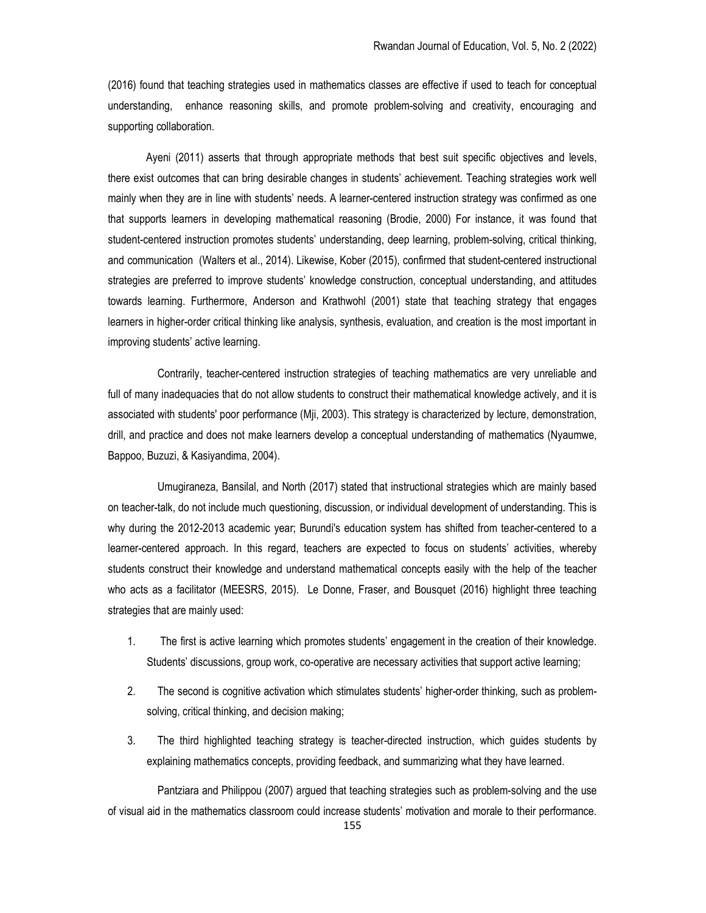(2016) found that teaching strategies used in mathematics classes are effective if used to teach for conceptual understanding, enhance reasoning skills, and promote problem-solving and creativity, encouraging and supporting collaboration.

 Ayeni (2011) asserts that through appropriate methods that best suit specific objectives and levels, there exist outcomes that can bring desirable changes in students' achievement. Teaching strategies work well mainly when they are in line with students' needs. A learner-centered instruction strategy was confirmed as one that supports learners in developing mathematical reasoning (Brodie, 2000) For instance, it was found that student-centered instruction promotes students' understanding, deep learning, problem-solving, critical thinking, and communication (Walters et al., 2014). Likewise, Kober (2015), confirmed that student-centered instructional strategies are preferred to improve students' knowledge construction, conceptual understanding, and attitudes towards learning. Furthermore, Anderson and Krathwohl (2001) state that teaching strategy that engages learners in higher-order critical thinking like analysis, synthesis, evaluation, and creation is the most important in improving students' active learning.

 Contrarily, teacher-centered instruction strategies of teaching mathematics are very unreliable and full of many inadequacies that do not allow students to construct their mathematical knowledge actively, and it is associated with students' poor performance (Mji, 2003). This strategy is characterized by lecture, demonstration, drill, and practice and does not make learners develop a conceptual understanding of mathematics (Nyaumwe, Bappoo, Buzuzi, & Kasiyandima, 2004).

 Umugiraneza, Bansilal, and North (2017) stated that instructional strategies which are mainly based on teacher-talk, do not include much questioning, discussion, or individual development of understanding. This is why during the 2012-2013 academic year; Burundi's education system has shifted from teacher-centered to a learner-centered approach. In this regard, teachers are expected to focus on students' activities, whereby students construct their knowledge and understand mathematical concepts easily with the help of the teacher who acts as a facilitator (MEESRS, 2015). Le Donne, Fraser, and Bousquet (2016) highlight three teaching strategies that are mainly used:

- 1. The first is active learning which promotes students' engagement in the creation of their knowledge. Students' discussions, group work, co-operative are necessary activities that support active learning;
- 2. The second is cognitive activation which stimulates students' higher-order thinking, such as problemsolving, critical thinking, and decision making;
- 3. The third highlighted teaching strategy is teacher-directed instruction, which guides students by explaining mathematics concepts, providing feedback, and summarizing what they have learned.

 Pantziara and Philippou (2007) argued that teaching strategies such as problem-solving and the use of visual aid in the mathematics classroom could increase students' motivation and morale to their performance.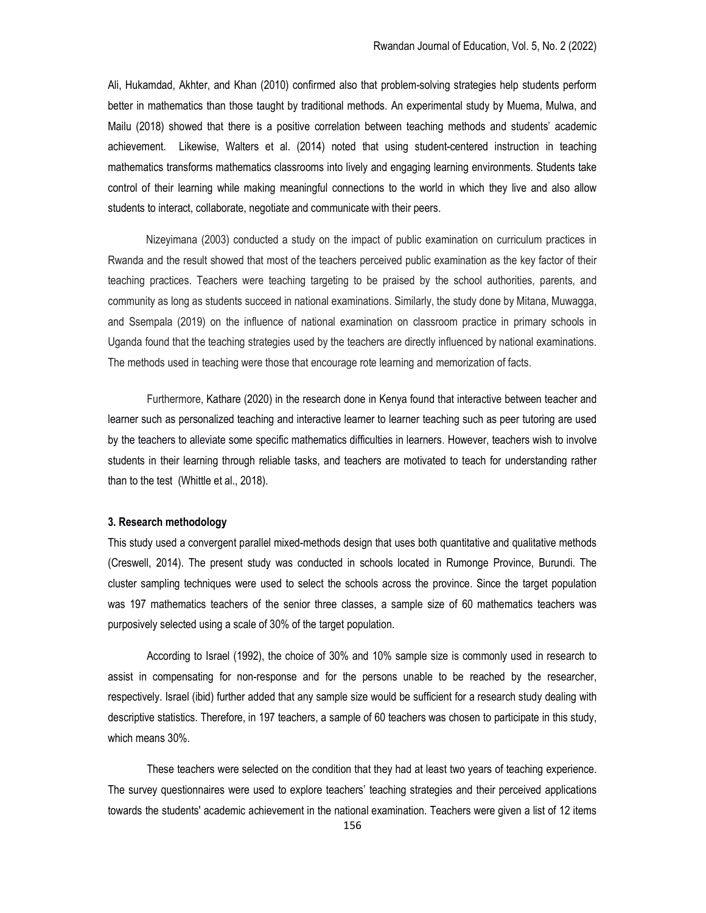Ali, Hukamdad, Akhter, and Khan (2010) confirmed also that problem-solving strategies help students perform better in mathematics than those taught by traditional methods. An experimental study by Muema, Mulwa, and Mailu (2018) showed that there is a positive correlation between teaching methods and students' academic achievement. Likewise, Walters et al. (2014) noted that using student-centered instruction in teaching mathematics transforms mathematics classrooms into lively and engaging learning environments. Students take control of their learning while making meaningful connections to the world in which they live and also allow students to interact, collaborate, negotiate and communicate with their peers.

 Nizeyimana (2003) conducted a study on the impact of public examination on curriculum practices in Rwanda and the result showed that most of the teachers perceived public examination as the key factor of their teaching practices. Teachers were teaching targeting to be praised by the school authorities, parents, and community as long as students succeed in national examinations. Similarly, the study done by Mitana, Muwagga, and Ssempala (2019) on the influence of national examination on classroom practice in primary schools in Uganda found that the teaching strategies used by the teachers are directly influenced by national examinations. The methods used in teaching were those that encourage rote learning and memorization of facts.

Furthermore, Kathare (2020) in the research done in Kenya found that interactive between teacher and learner such as personalized teaching and interactive learner to learner teaching such as peer tutoring are used by the teachers to alleviate some specific mathematics difficulties in learners. However, teachers wish to involve students in their learning through reliable tasks, and teachers are motivated to teach for understanding rather than to the test (Whittle et al., 2018).

#### 3. Research methodology

This study used a convergent parallel mixed-methods design that uses both quantitative and qualitative methods (Creswell, 2014). The present study was conducted in schools located in Rumonge Province, Burundi. The cluster sampling techniques were used to select the schools across the province. Since the target population was 197 mathematics teachers of the senior three classes, a sample size of 60 mathematics teachers was purposively selected using a scale of 30% of the target population.

According to Israel (1992), the choice of 30% and 10% sample size is commonly used in research to assist in compensating for non-response and for the persons unable to be reached by the researcher, respectively. Israel (ibid) further added that any sample size would be sufficient for a research study dealing with descriptive statistics. Therefore, in 197 teachers, a sample of 60 teachers was chosen to participate in this study, which means 30%.

These teachers were selected on the condition that they had at least two years of teaching experience. The survey questionnaires were used to explore teachers' teaching strategies and their perceived applications towards the students' academic achievement in the national examination. Teachers were given a list of 12 items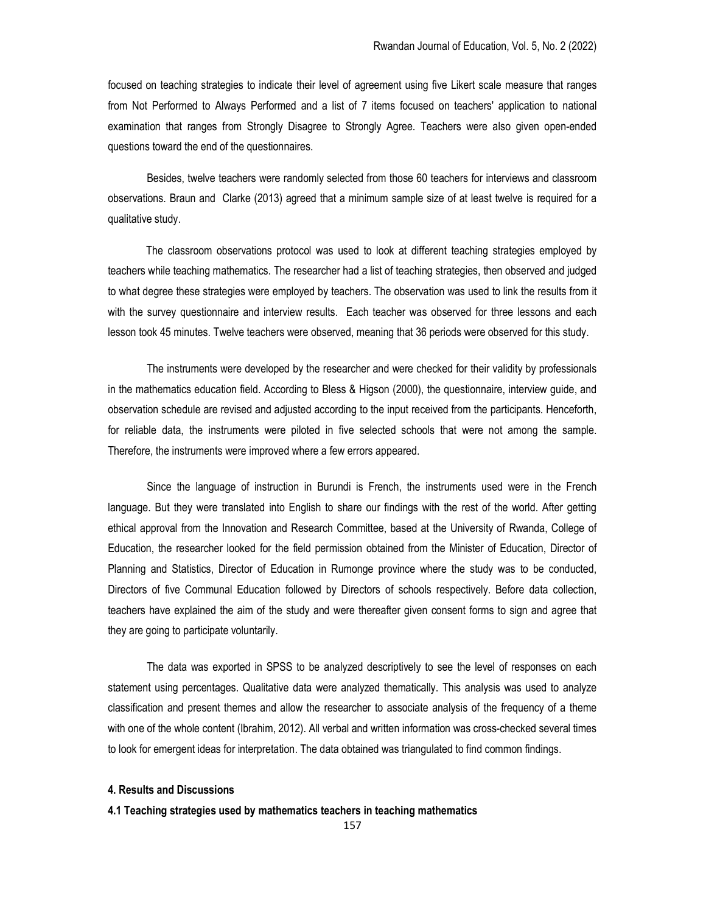focused on teaching strategies to indicate their level of agreement using five Likert scale measure that ranges from Not Performed to Always Performed and a list of 7 items focused on teachers' application to national examination that ranges from Strongly Disagree to Strongly Agree. Teachers were also given open-ended questions toward the end of the questionnaires.

Besides, twelve teachers were randomly selected from those 60 teachers for interviews and classroom observations. Braun and Clarke (2013) agreed that a minimum sample size of at least twelve is required for a qualitative study.

 The classroom observations protocol was used to look at different teaching strategies employed by teachers while teaching mathematics. The researcher had a list of teaching strategies, then observed and judged to what degree these strategies were employed by teachers. The observation was used to link the results from it with the survey questionnaire and interview results. Each teacher was observed for three lessons and each lesson took 45 minutes. Twelve teachers were observed, meaning that 36 periods were observed for this study.

The instruments were developed by the researcher and were checked for their validity by professionals in the mathematics education field. According to Bless & Higson (2000), the questionnaire, interview guide, and observation schedule are revised and adjusted according to the input received from the participants. Henceforth, for reliable data, the instruments were piloted in five selected schools that were not among the sample. Therefore, the instruments were improved where a few errors appeared.

Since the language of instruction in Burundi is French, the instruments used were in the French language. But they were translated into English to share our findings with the rest of the world. After getting ethical approval from the Innovation and Research Committee, based at the University of Rwanda, College of Education, the researcher looked for the field permission obtained from the Minister of Education, Director of Planning and Statistics, Director of Education in Rumonge province where the study was to be conducted, Directors of five Communal Education followed by Directors of schools respectively. Before data collection, teachers have explained the aim of the study and were thereafter given consent forms to sign and agree that they are going to participate voluntarily.

The data was exported in SPSS to be analyzed descriptively to see the level of responses on each statement using percentages. Qualitative data were analyzed thematically. This analysis was used to analyze classification and present themes and allow the researcher to associate analysis of the frequency of a theme with one of the whole content (Ibrahim, 2012). All verbal and written information was cross-checked several times to look for emergent ideas for interpretation. The data obtained was triangulated to find common findings.

#### 4. Results and Discussions

#### 4.1 Teaching strategies used by mathematics teachers in teaching mathematics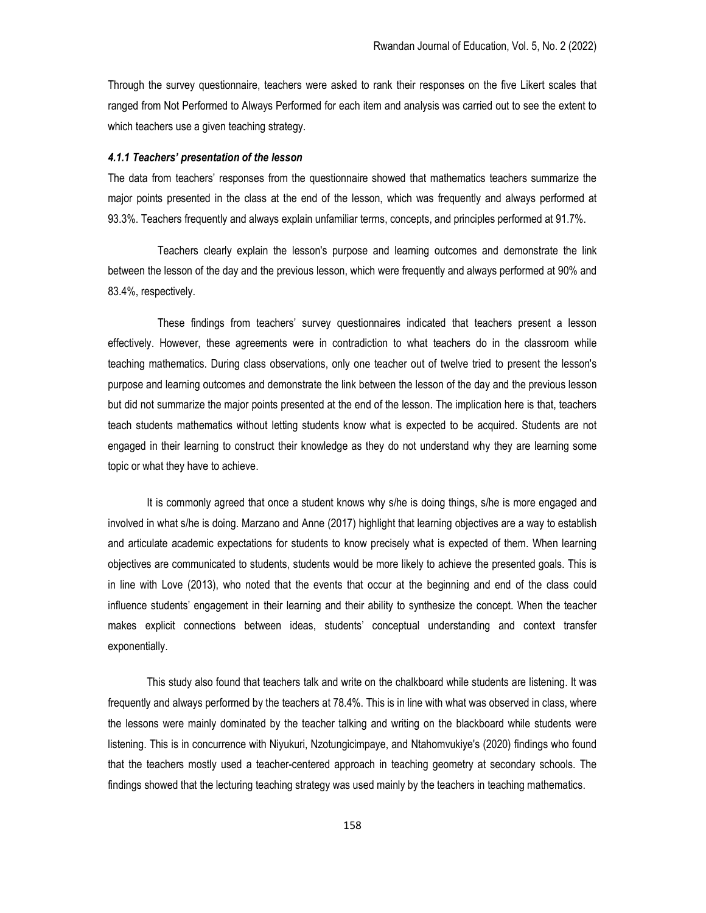Through the survey questionnaire, teachers were asked to rank their responses on the five Likert scales that ranged from Not Performed to Always Performed for each item and analysis was carried out to see the extent to which teachers use a given teaching strategy.

#### 4.1.1 Teachers' presentation of the lesson

The data from teachers' responses from the questionnaire showed that mathematics teachers summarize the major points presented in the class at the end of the lesson, which was frequently and always performed at 93.3%. Teachers frequently and always explain unfamiliar terms, concepts, and principles performed at 91.7%.

 Teachers clearly explain the lesson's purpose and learning outcomes and demonstrate the link between the lesson of the day and the previous lesson, which were frequently and always performed at 90% and 83.4%, respectively.

 These findings from teachers' survey questionnaires indicated that teachers present a lesson effectively. However, these agreements were in contradiction to what teachers do in the classroom while teaching mathematics. During class observations, only one teacher out of twelve tried to present the lesson's purpose and learning outcomes and demonstrate the link between the lesson of the day and the previous lesson but did not summarize the major points presented at the end of the lesson. The implication here is that, teachers teach students mathematics without letting students know what is expected to be acquired. Students are not engaged in their learning to construct their knowledge as they do not understand why they are learning some topic or what they have to achieve.

It is commonly agreed that once a student knows why s/he is doing things, s/he is more engaged and involved in what s/he is doing. Marzano and Anne (2017) highlight that learning objectives are a way to establish and articulate academic expectations for students to know precisely what is expected of them. When learning objectives are communicated to students, students would be more likely to achieve the presented goals. This is in line with Love (2013), who noted that the events that occur at the beginning and end of the class could influence students' engagement in their learning and their ability to synthesize the concept. When the teacher makes explicit connections between ideas, students' conceptual understanding and context transfer exponentially.

This study also found that teachers talk and write on the chalkboard while students are listening. It was frequently and always performed by the teachers at 78.4%. This is in line with what was observed in class, where the lessons were mainly dominated by the teacher talking and writing on the blackboard while students were listening. This is in concurrence with Niyukuri, Nzotungicimpaye, and Ntahomvukiye's (2020) findings who found that the teachers mostly used a teacher-centered approach in teaching geometry at secondary schools. The findings showed that the lecturing teaching strategy was used mainly by the teachers in teaching mathematics.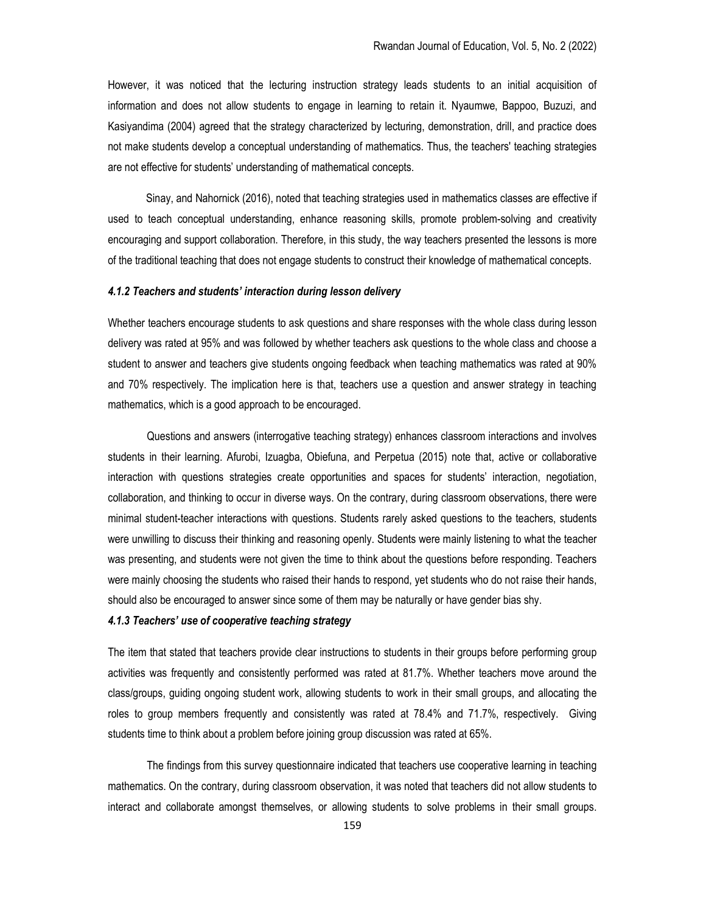However, it was noticed that the lecturing instruction strategy leads students to an initial acquisition of information and does not allow students to engage in learning to retain it. Nyaumwe, Bappoo, Buzuzi, and Kasiyandima (2004) agreed that the strategy characterized by lecturing, demonstration, drill, and practice does not make students develop a conceptual understanding of mathematics. Thus, the teachers' teaching strategies are not effective for students' understanding of mathematical concepts.

 Sinay, and Nahornick (2016), noted that teaching strategies used in mathematics classes are effective if used to teach conceptual understanding, enhance reasoning skills, promote problem-solving and creativity encouraging and support collaboration. Therefore, in this study, the way teachers presented the lessons is more of the traditional teaching that does not engage students to construct their knowledge of mathematical concepts.

#### 4.1.2 Teachers and students' interaction during lesson delivery

Whether teachers encourage students to ask questions and share responses with the whole class during lesson delivery was rated at 95% and was followed by whether teachers ask questions to the whole class and choose a student to answer and teachers give students ongoing feedback when teaching mathematics was rated at 90% and 70% respectively. The implication here is that, teachers use a question and answer strategy in teaching mathematics, which is a good approach to be encouraged.

Questions and answers (interrogative teaching strategy) enhances classroom interactions and involves students in their learning. Afurobi, Izuagba, Obiefuna, and Perpetua (2015) note that, active or collaborative interaction with questions strategies create opportunities and spaces for students' interaction, negotiation, collaboration, and thinking to occur in diverse ways. On the contrary, during classroom observations, there were minimal student-teacher interactions with questions. Students rarely asked questions to the teachers, students were unwilling to discuss their thinking and reasoning openly. Students were mainly listening to what the teacher was presenting, and students were not given the time to think about the questions before responding. Teachers were mainly choosing the students who raised their hands to respond, yet students who do not raise their hands, should also be encouraged to answer since some of them may be naturally or have gender bias shy.

## 4.1.3 Teachers' use of cooperative teaching strategy

The item that stated that teachers provide clear instructions to students in their groups before performing group activities was frequently and consistently performed was rated at 81.7%. Whether teachers move around the class/groups, guiding ongoing student work, allowing students to work in their small groups, and allocating the roles to group members frequently and consistently was rated at 78.4% and 71.7%, respectively. Giving students time to think about a problem before joining group discussion was rated at 65%.

The findings from this survey questionnaire indicated that teachers use cooperative learning in teaching mathematics. On the contrary, during classroom observation, it was noted that teachers did not allow students to interact and collaborate amongst themselves, or allowing students to solve problems in their small groups.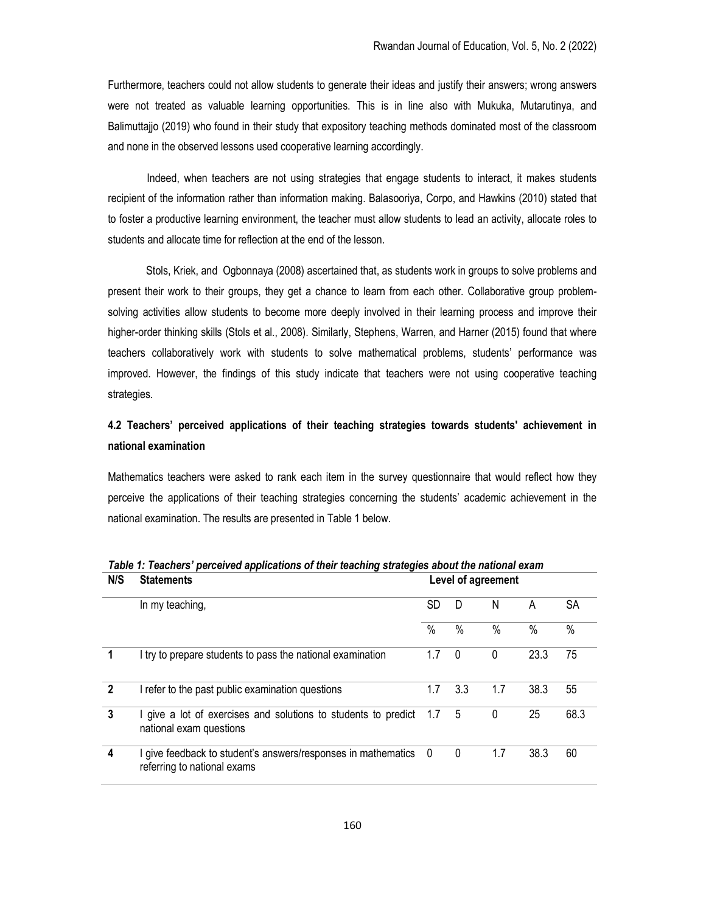Furthermore, teachers could not allow students to generate their ideas and justify their answers; wrong answers were not treated as valuable learning opportunities. This is in line also with Mukuka, Mutarutinya, and Balimuttajjo (2019) who found in their study that expository teaching methods dominated most of the classroom and none in the observed lessons used cooperative learning accordingly.

Indeed, when teachers are not using strategies that engage students to interact, it makes students recipient of the information rather than information making. Balasooriya, Corpo, and Hawkins (2010) stated that to foster a productive learning environment, the teacher must allow students to lead an activity, allocate roles to students and allocate time for reflection at the end of the lesson.

 Stols, Kriek, and Ogbonnaya (2008) ascertained that, as students work in groups to solve problems and present their work to their groups, they get a chance to learn from each other. Collaborative group problemsolving activities allow students to become more deeply involved in their learning process and improve their higher-order thinking skills (Stols et al., 2008). Similarly, Stephens, Warren, and Harner (2015) found that where teachers collaboratively work with students to solve mathematical problems, students' performance was improved. However, the findings of this study indicate that teachers were not using cooperative teaching strategies.

# 4.2 Teachers' perceived applications of their teaching strategies towards students' achievement in national examination

Mathematics teachers were asked to rank each item in the survey questionnaire that would reflect how they perceive the applications of their teaching strategies concerning the students' academic achievement in the national examination. The results are presented in Table 1 below.

| N/S            | <b>Statements</b><br>In my teaching,                                                         | Level of agreement |              |               |               |               |  |
|----------------|----------------------------------------------------------------------------------------------|--------------------|--------------|---------------|---------------|---------------|--|
|                |                                                                                              | SD                 | D            | N             | A             | SА            |  |
|                |                                                                                              | $\frac{0}{0}$      | $\%$         | $\frac{0}{0}$ | $\frac{0}{0}$ | $\frac{0}{0}$ |  |
| 1              | I try to prepare students to pass the national examination                                   | 1.7                | 0            | $\Omega$      | 23.3          | 75            |  |
| $\overline{2}$ | I refer to the past public examination questions                                             | 1.7                | 3.3          | 1.7           | 38.3          | 55            |  |
| 3              | I give a lot of exercises and solutions to students to predict<br>national exam questions    | 1.7                | 5            | 0             | 25            | 68.3          |  |
| 4              | I give feedback to student's answers/responses in mathematics<br>referring to national exams | 0                  | $\mathbf{0}$ | 1.7           | 38.3          | 60            |  |

Table 1: Teachers' perceived applications of their teaching strategies about the national exam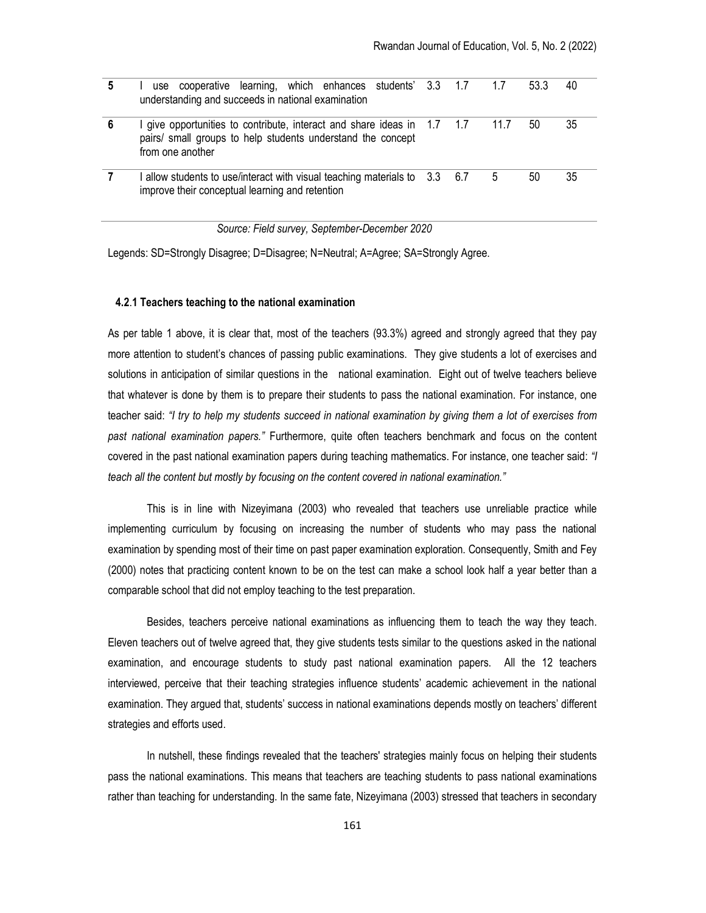|   | use cooperative learning, which enhances students' 3.3 1.7 1.7<br>understanding and succeeds in national examination                                     |  |      | 53.3 | 40 |
|---|----------------------------------------------------------------------------------------------------------------------------------------------------------|--|------|------|----|
| 6 | give opportunities to contribute, interact and share ideas in 1.7 1.7<br>pairs/ small groups to help students understand the concept<br>from one another |  | 11.7 | 50   | 35 |
|   | I allow students to use/interact with visual teaching materials to $3.3\phantom{00}6.7$<br>improve their conceptual learning and retention               |  | 5    | 50   | 35 |

Source: Field survey, September-December 2020

Legends: SD=Strongly Disagree; D=Disagree; N=Neutral; A=Agree; SA=Strongly Agree.

## 4.2.1 Teachers teaching to the national examination

As per table 1 above, it is clear that, most of the teachers (93.3%) agreed and strongly agreed that they pay more attention to student's chances of passing public examinations. They give students a lot of exercises and solutions in anticipation of similar questions in the national examination. Eight out of twelve teachers believe that whatever is done by them is to prepare their students to pass the national examination. For instance, one teacher said: "I try to help my students succeed in national examination by giving them a lot of exercises from past national examination papers." Furthermore, quite often teachers benchmark and focus on the content covered in the past national examination papers during teaching mathematics. For instance, one teacher said: "I teach all the content but mostly by focusing on the content covered in national examination."

This is in line with Nizeyimana (2003) who revealed that teachers use unreliable practice while implementing curriculum by focusing on increasing the number of students who may pass the national examination by spending most of their time on past paper examination exploration. Consequently, Smith and Fey (2000) notes that practicing content known to be on the test can make a school look half a year better than a comparable school that did not employ teaching to the test preparation.

Besides, teachers perceive national examinations as influencing them to teach the way they teach. Eleven teachers out of twelve agreed that, they give students tests similar to the questions asked in the national examination, and encourage students to study past national examination papers. All the 12 teachers interviewed, perceive that their teaching strategies influence students' academic achievement in the national examination. They argued that, students' success in national examinations depends mostly on teachers' different strategies and efforts used.

In nutshell, these findings revealed that the teachers' strategies mainly focus on helping their students pass the national examinations. This means that teachers are teaching students to pass national examinations rather than teaching for understanding. In the same fate, Nizeyimana (2003) stressed that teachers in secondary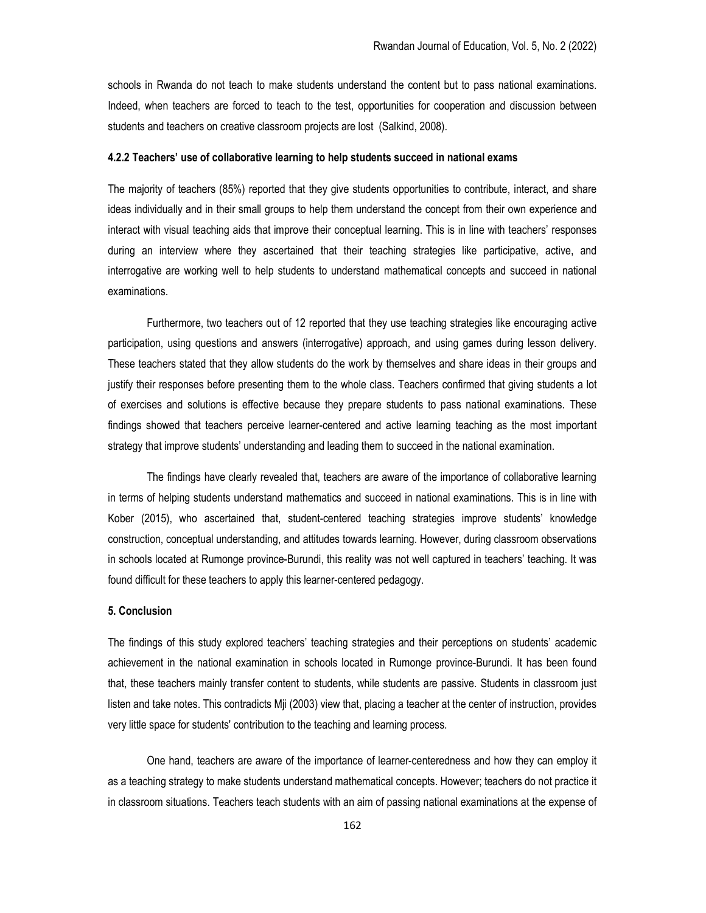schools in Rwanda do not teach to make students understand the content but to pass national examinations. Indeed, when teachers are forced to teach to the test, opportunities for cooperation and discussion between students and teachers on creative classroom projects are lost (Salkind, 2008).

## 4.2.2 Teachers' use of collaborative learning to help students succeed in national exams

The majority of teachers (85%) reported that they give students opportunities to contribute, interact, and share ideas individually and in their small groups to help them understand the concept from their own experience and interact with visual teaching aids that improve their conceptual learning. This is in line with teachers' responses during an interview where they ascertained that their teaching strategies like participative, active, and interrogative are working well to help students to understand mathematical concepts and succeed in national examinations.

Furthermore, two teachers out of 12 reported that they use teaching strategies like encouraging active participation, using questions and answers (interrogative) approach, and using games during lesson delivery. These teachers stated that they allow students do the work by themselves and share ideas in their groups and justify their responses before presenting them to the whole class. Teachers confirmed that giving students a lot of exercises and solutions is effective because they prepare students to pass national examinations. These findings showed that teachers perceive learner-centered and active learning teaching as the most important strategy that improve students' understanding and leading them to succeed in the national examination.

The findings have clearly revealed that, teachers are aware of the importance of collaborative learning in terms of helping students understand mathematics and succeed in national examinations. This is in line with Kober (2015), who ascertained that, student-centered teaching strategies improve students' knowledge construction, conceptual understanding, and attitudes towards learning. However, during classroom observations in schools located at Rumonge province-Burundi, this reality was not well captured in teachers' teaching. It was found difficult for these teachers to apply this learner-centered pedagogy.

#### 5. Conclusion

The findings of this study explored teachers' teaching strategies and their perceptions on students' academic achievement in the national examination in schools located in Rumonge province-Burundi. It has been found that, these teachers mainly transfer content to students, while students are passive. Students in classroom just listen and take notes. This contradicts Mji (2003) view that, placing a teacher at the center of instruction, provides very little space for students' contribution to the teaching and learning process.

One hand, teachers are aware of the importance of learner-centeredness and how they can employ it as a teaching strategy to make students understand mathematical concepts. However; teachers do not practice it in classroom situations. Teachers teach students with an aim of passing national examinations at the expense of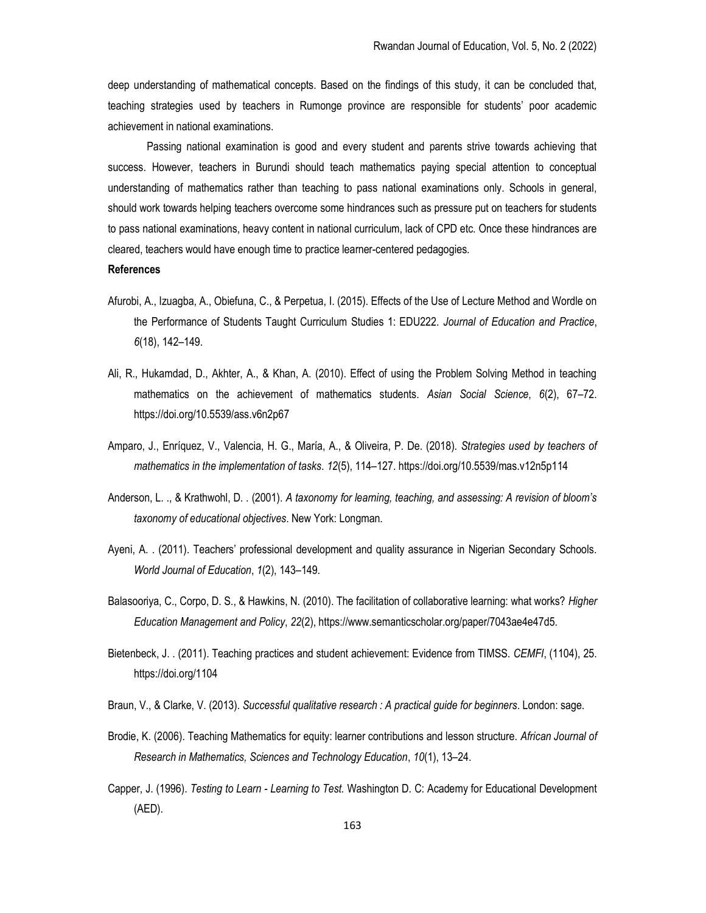deep understanding of mathematical concepts. Based on the findings of this study, it can be concluded that, teaching strategies used by teachers in Rumonge province are responsible for students' poor academic achievement in national examinations.

Passing national examination is good and every student and parents strive towards achieving that success. However, teachers in Burundi should teach mathematics paying special attention to conceptual understanding of mathematics rather than teaching to pass national examinations only. Schools in general, should work towards helping teachers overcome some hindrances such as pressure put on teachers for students to pass national examinations, heavy content in national curriculum, lack of CPD etc. Once these hindrances are cleared, teachers would have enough time to practice learner-centered pedagogies.

#### References

- Afurobi, A., Izuagba, A., Obiefuna, C., & Perpetua, I. (2015). Effects of the Use of Lecture Method and Wordle on the Performance of Students Taught Curriculum Studies 1: EDU222. Journal of Education and Practice, 6(18), 142–149.
- Ali, R., Hukamdad, D., Akhter, A., & Khan, A. (2010). Effect of using the Problem Solving Method in teaching mathematics on the achievement of mathematics students. Asian Social Science, 6(2), 67–72. https://doi.org/10.5539/ass.v6n2p67
- Amparo, J., Enríquez, V., Valencia, H. G., María, A., & Oliveira, P. De. (2018). Strategies used by teachers of mathematics in the implementation of tasks. 12(5), 114–127. https://doi.org/10.5539/mas.v12n5p114
- Anderson, L. ., & Krathwohl, D. . (2001). A taxonomy for learning, teaching, and assessing: A revision of bloom's taxonomy of educational objectives. New York: Longman.
- Ayeni, A. . (2011). Teachers' professional development and quality assurance in Nigerian Secondary Schools. World Journal of Education, 1(2), 143–149.
- Balasooriya, C., Corpo, D. S., & Hawkins, N. (2010). The facilitation of collaborative learning: what works? Higher Education Management and Policy, 22(2), https://www.semanticscholar.org/paper/7043ae4e47d5.
- Bietenbeck, J. . (2011). Teaching practices and student achievement: Evidence from TIMSS. CEMFI, (1104), 25. https://doi.org/1104

Braun, V., & Clarke, V. (2013). Successful qualitative research : A practical quide for beginners. London: sage.

- Brodie, K. (2006). Teaching Mathematics for equity: learner contributions and lesson structure. African Journal of Research in Mathematics, Sciences and Technology Education, 10(1), 13–24.
- Capper, J. (1996). Testing to Learn Learning to Test. Washington D. C: Academy for Educational Development (AED).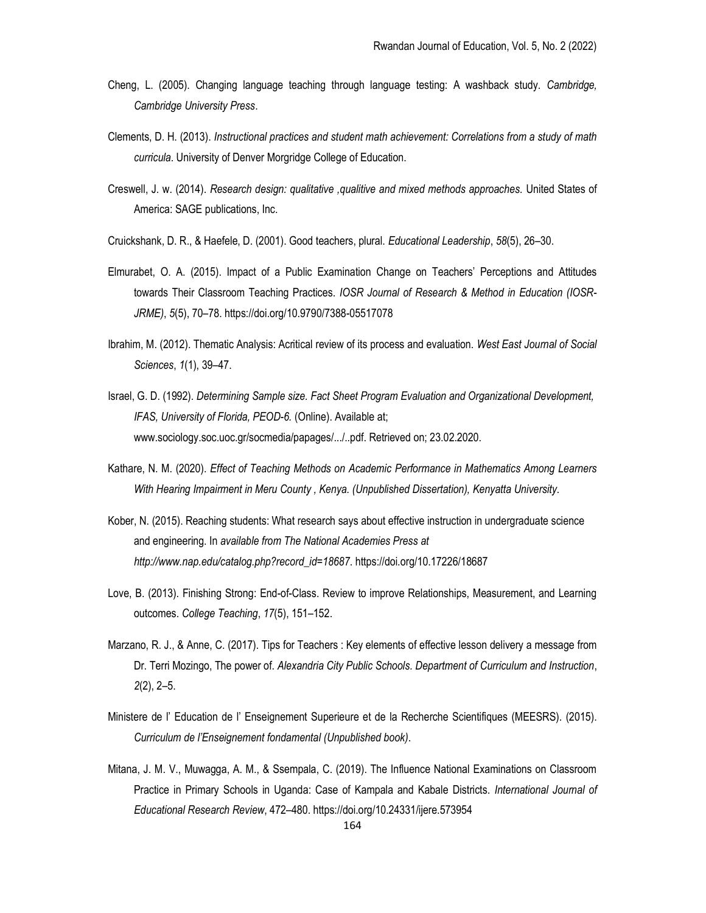- Cheng, L. (2005). Changing language teaching through language testing: A washback study. Cambridge, Cambridge University Press.
- Clements, D. H. (2013). Instructional practices and student math achievement: Correlations from a study of math curricula. University of Denver Morgridge College of Education.
- Creswell, J. w. (2014). Research design: qualitative ,qualitive and mixed methods approaches. United States of America: SAGE publications, Inc.
- Cruickshank, D. R., & Haefele, D. (2001). Good teachers, plural. Educational Leadership, 58(5), 26–30.
- Elmurabet, O. A. (2015). Impact of a Public Examination Change on Teachers' Perceptions and Attitudes towards Their Classroom Teaching Practices. IOSR Journal of Research & Method in Education (IOSR-JRME), 5(5), 70–78. https://doi.org/10.9790/7388-05517078
- Ibrahim, M. (2012). Thematic Analysis: Acritical review of its process and evaluation. West East Journal of Social Sciences, 1(1), 39–47.
- Israel, G. D. (1992). Determining Sample size. Fact Sheet Program Evaluation and Organizational Development, IFAS, University of Florida, PEOD-6. (Online). Available at; www.sociology.soc.uoc.gr/socmedia/papages/.../..pdf. Retrieved on; 23.02.2020.
- Kathare, N. M. (2020). Effect of Teaching Methods on Academic Performance in Mathematics Among Learners With Hearing Impairment in Meru County , Kenya. (Unpublished Dissertation), Kenyatta University.
- Kober, N. (2015). Reaching students: What research says about effective instruction in undergraduate science and engineering. In available from The National Academies Press at http://www.nap.edu/catalog.php?record\_id=18687. https://doi.org/10.17226/18687
- Love, B. (2013). Finishing Strong: End-of-Class. Review to improve Relationships, Measurement, and Learning outcomes. College Teaching, 17(5), 151–152.
- Marzano, R. J., & Anne, C. (2017). Tips for Teachers : Key elements of effective lesson delivery a message from Dr. Terri Mozingo, The power of. Alexandria City Public Schools. Department of Curriculum and Instruction, 2(2), 2–5.
- Ministere de l' Education de l' Enseignement Superieure et de la Recherche Scientifiques (MEESRS). (2015). Curriculum de l'Enseignement fondamental (Unpublished book).
- Mitana, J. M. V., Muwagga, A. M., & Ssempala, C. (2019). The Influence National Examinations on Classroom Practice in Primary Schools in Uganda: Case of Kampala and Kabale Districts. International Journal of Educational Research Review, 472–480. https://doi.org/10.24331/ijere.573954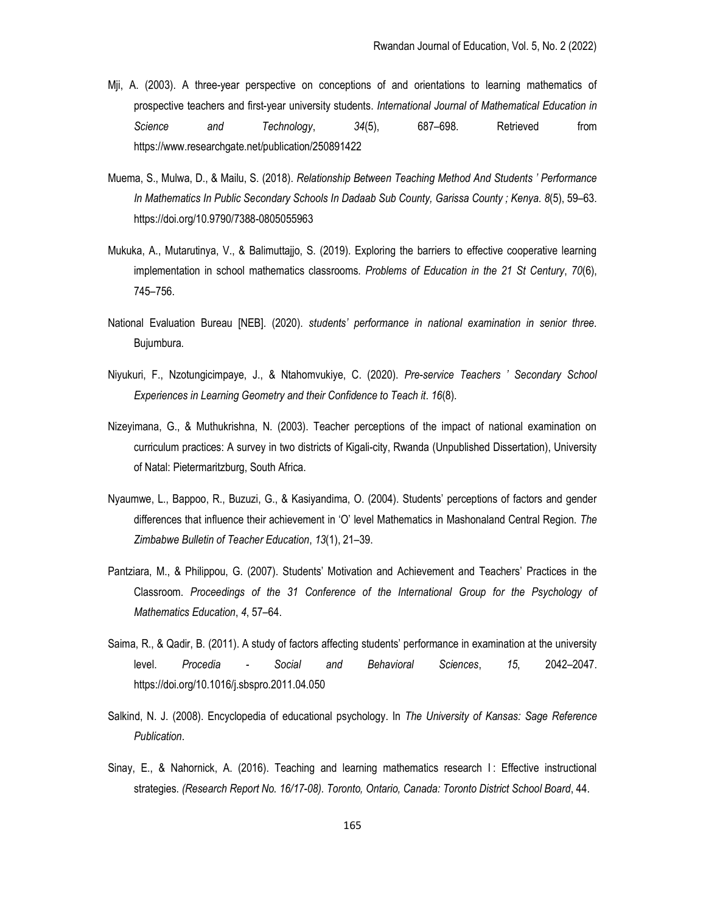- Mji, A. (2003). A three-year perspective on conceptions of and orientations to learning mathematics of prospective teachers and first-year university students. International Journal of Mathematical Education in Science and Technology, 34(5), 687–698. Retrieved from https://www.researchgate.net/publication/250891422
- Muema, S., Mulwa, D., & Mailu, S. (2018). Relationship Between Teaching Method And Students ' Performance In Mathematics In Public Secondary Schools In Dadaab Sub County, Garissa County ; Kenya. 8(5), 59–63. https://doi.org/10.9790/7388-0805055963
- Mukuka, A., Mutarutinya, V., & Balimuttajjo, S. (2019). Exploring the barriers to effective cooperative learning implementation in school mathematics classrooms. Problems of Education in the 21 St Century, 70(6), 745–756.
- National Evaluation Bureau [NEB]. (2020). students' performance in national examination in senior three. Bujumbura.
- Niyukuri, F., Nzotungicimpaye, J., & Ntahomvukiye, C. (2020). Pre-service Teachers ' Secondary School Experiences in Learning Geometry and their Confidence to Teach it. 16(8).
- Nizeyimana, G., & Muthukrishna, N. (2003). Teacher perceptions of the impact of national examination on curriculum practices: A survey in two districts of Kigali-city, Rwanda (Unpublished Dissertation), University of Natal: Pietermaritzburg, South Africa.
- Nyaumwe, L., Bappoo, R., Buzuzi, G., & Kasiyandima, O. (2004). Students' perceptions of factors and gender differences that influence their achievement in 'O' level Mathematics in Mashonaland Central Region. The Zimbabwe Bulletin of Teacher Education, 13(1), 21–39.
- Pantziara, M., & Philippou, G. (2007). Students' Motivation and Achievement and Teachers' Practices in the Classroom. Proceedings of the 31 Conference of the International Group for the Psychology of Mathematics Education, 4, 57–64.
- Saima, R., & Qadir, B. (2011). A study of factors affecting students' performance in examination at the university level. Procedia - Social and Behavioral Sciences, 15, 2042–2047. https://doi.org/10.1016/j.sbspro.2011.04.050
- Salkind, N. J. (2008). Encyclopedia of educational psychology. In The University of Kansas: Sage Reference Publication.
- Sinay, E., & Nahornick, A. (2016). Teaching and learning mathematics research I : Effective instructional strategies. (Research Report No. 16/17-08). Toronto, Ontario, Canada: Toronto District School Board, 44.